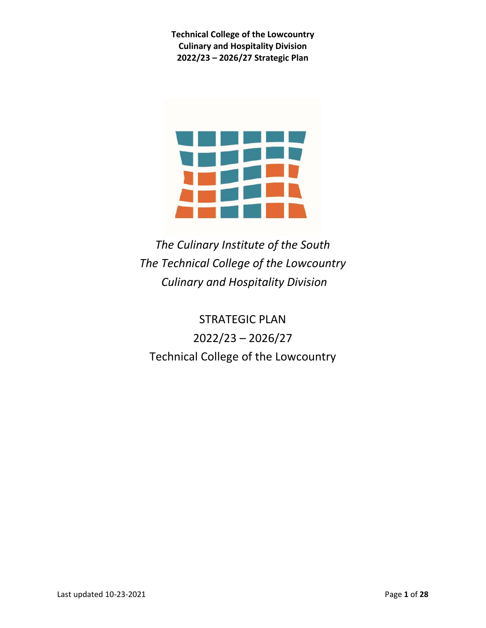

*The Culinary Institute of the South The Technical College of the Lowcountry Culinary and Hospitality Division*

STRATEGIC PLAN 2022/23 – 2026/27 Technical College of the Lowcountry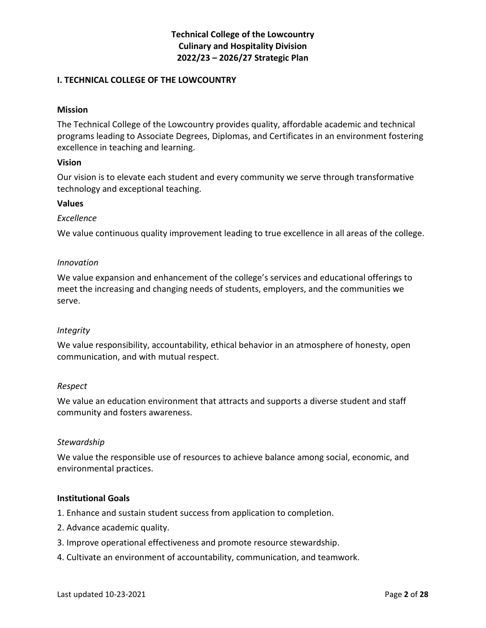#### **I. TECHNICAL COLLEGE OF THE LOWCOUNTRY**

#### **Mission**

The Technical College of the Lowcountry provides quality, affordable academic and technical programs leading to Associate Degrees, Diplomas, and Certificates in an environment fostering excellence in teaching and learning.

#### **Vision**

Our vision is to elevate each student and every community we serve through transformative technology and exceptional teaching.

#### **Values**

#### *Excellence*

We value continuous quality improvement leading to true excellence in all areas of the college.

#### *Innovation*

We value expansion and enhancement of the college's services and educational offerings to meet the increasing and changing needs of students, employers, and the communities we serve.

#### *Integrity*

We value responsibility, accountability, ethical behavior in an atmosphere of honesty, open communication, and with mutual respect.

#### *Respect*

We value an education environment that attracts and supports a diverse student and staff community and fosters awareness.

#### *Stewardship*

We value the responsible use of resources to achieve balance among social, economic, and environmental practices.

#### **Institutional Goals**

- 1. Enhance and sustain student success from application to completion.
- 2. Advance academic quality.
- 3. Improve operational effectiveness and promote resource stewardship.
- 4. Cultivate an environment of accountability, communication, and teamwork.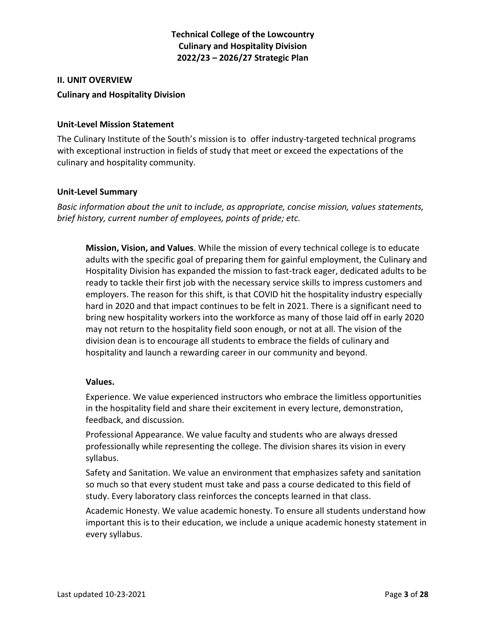#### **II. UNIT OVERVIEW**

#### **Culinary and Hospitality Division**

#### **Unit-Level Mission Statement**

The Culinary Institute of the South's mission is to offer industry-targeted technical programs with exceptional instruction in fields of study that meet or exceed the expectations of the culinary and hospitality community.

#### **Unit-Level Summary**

*Basic information about the unit to include, as appropriate, concise mission, values statements, brief history, current number of employees, points of pride; etc.* 

**Mission, Vision, and Values**. While the mission of every technical college is to educate adults with the specific goal of preparing them for gainful employment, the Culinary and Hospitality Division has expanded the mission to fast-track eager, dedicated adults to be ready to tackle their first job with the necessary service skills to impress customers and employers. The reason for this shift, is that COVID hit the hospitality industry especially hard in 2020 and that impact continues to be felt in 2021. There is a significant need to bring new hospitality workers into the workforce as many of those laid off in early 2020 may not return to the hospitality field soon enough, or not at all. The vision of the division dean is to encourage all students to embrace the fields of culinary and hospitality and launch a rewarding career in our community and beyond.

#### **Values.**

Experience. We value experienced instructors who embrace the limitless opportunities in the hospitality field and share their excitement in every lecture, demonstration, feedback, and discussion.

Professional Appearance. We value faculty and students who are always dressed professionally while representing the college. The division shares its vision in every syllabus.

Safety and Sanitation. We value an environment that emphasizes safety and sanitation so much so that every student must take and pass a course dedicated to this field of study. Every laboratory class reinforces the concepts learned in that class.

Academic Honesty. We value academic honesty. To ensure all students understand how important this is to their education, we include a unique academic honesty statement in every syllabus.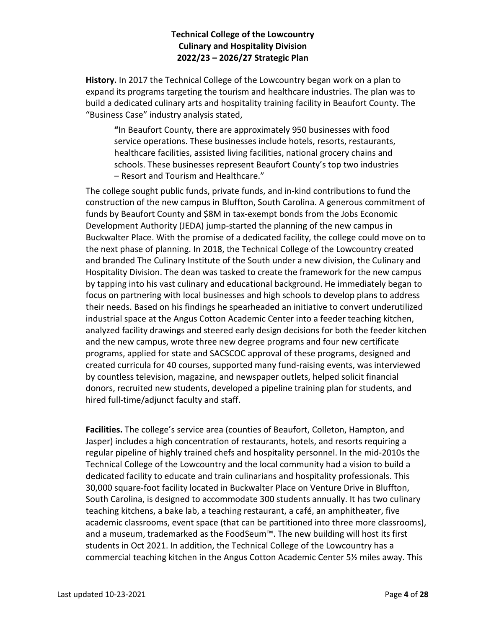**History.** In 2017 the Technical College of the Lowcountry began work on a plan to expand its programs targeting the tourism and healthcare industries. The plan was to build a dedicated culinary arts and hospitality training facility in Beaufort County. The "Business Case" industry analysis stated,

**"**In Beaufort County, there are approximately 950 businesses with food service operations. These businesses include hotels, resorts, restaurants, healthcare facilities, assisted living facilities, national grocery chains and schools. These businesses represent Beaufort County's top two industries – Resort and Tourism and Healthcare."

The college sought public funds, private funds, and in-kind contributions to fund the construction of the new campus in Bluffton, South Carolina. A generous commitment of funds by Beaufort County and \$8M in tax-exempt bonds from the Jobs Economic Development Authority (JEDA) jump-started the planning of the new campus in Buckwalter Place. With the promise of a dedicated facility, the college could move on to the next phase of planning. In 2018, the Technical College of the Lowcountry created and branded The Culinary Institute of the South under a new division, the Culinary and Hospitality Division. The dean was tasked to create the framework for the new campus by tapping into his vast culinary and educational background. He immediately began to focus on partnering with local businesses and high schools to develop plans to address their needs. Based on his findings he spearheaded an initiative to convert underutilized industrial space at the Angus Cotton Academic Center into a feeder teaching kitchen, analyzed facility drawings and steered early design decisions for both the feeder kitchen and the new campus, wrote three new degree programs and four new certificate programs, applied for state and SACSCOC approval of these programs, designed and created curricula for 40 courses, supported many fund-raising events, was interviewed by countless television, magazine, and newspaper outlets, helped solicit financial donors, recruited new students, developed a pipeline training plan for students, and hired full-time/adjunct faculty and staff.

**Facilities.** The college's service area (counties of Beaufort, Colleton, Hampton, and Jasper) includes a high concentration of restaurants, hotels, and resorts requiring a regular pipeline of highly trained chefs and hospitality personnel. In the mid-2010s the Technical College of the Lowcountry and the local community had a vision to build a dedicated facility to educate and train culinarians and hospitality professionals. This 30,000 square-foot facility located in Buckwalter Place on Venture Drive in Bluffton, South Carolina, is designed to accommodate 300 students annually. It has two culinary teaching kitchens, a bake lab, a teaching restaurant, a café, an amphitheater, five academic classrooms, event space (that can be partitioned into three more classrooms), and a museum, trademarked as the FoodSeum™. The new building will host its first students in Oct 2021. In addition, the Technical College of the Lowcountry has a commercial teaching kitchen in the Angus Cotton Academic Center 5½ miles away. This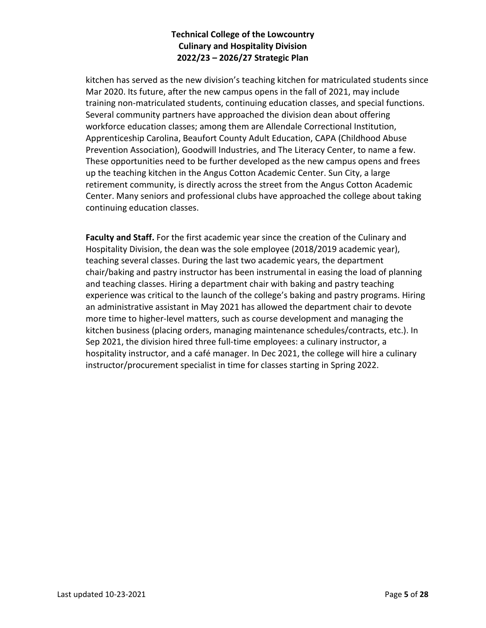kitchen has served as the new division's teaching kitchen for matriculated students since Mar 2020. Its future, after the new campus opens in the fall of 2021, may include training non-matriculated students, continuing education classes, and special functions. Several community partners have approached the division dean about offering workforce education classes; among them are Allendale Correctional Institution, Apprenticeship Carolina, Beaufort County Adult Education, CAPA (Childhood Abuse Prevention Association), Goodwill Industries, and The Literacy Center, to name a few. These opportunities need to be further developed as the new campus opens and frees up the teaching kitchen in the Angus Cotton Academic Center. Sun City, a large retirement community, is directly across the street from the Angus Cotton Academic Center. Many seniors and professional clubs have approached the college about taking continuing education classes.

**Faculty and Staff.** For the first academic year since the creation of the Culinary and Hospitality Division, the dean was the sole employee (2018/2019 academic year), teaching several classes. During the last two academic years, the department chair/baking and pastry instructor has been instrumental in easing the load of planning and teaching classes. Hiring a department chair with baking and pastry teaching experience was critical to the launch of the college's baking and pastry programs. Hiring an administrative assistant in May 2021 has allowed the department chair to devote more time to higher-level matters, such as course development and managing the kitchen business (placing orders, managing maintenance schedules/contracts, etc.). In Sep 2021, the division hired three full-time employees: a culinary instructor, a hospitality instructor, and a café manager. In Dec 2021, the college will hire a culinary instructor/procurement specialist in time for classes starting in Spring 2022.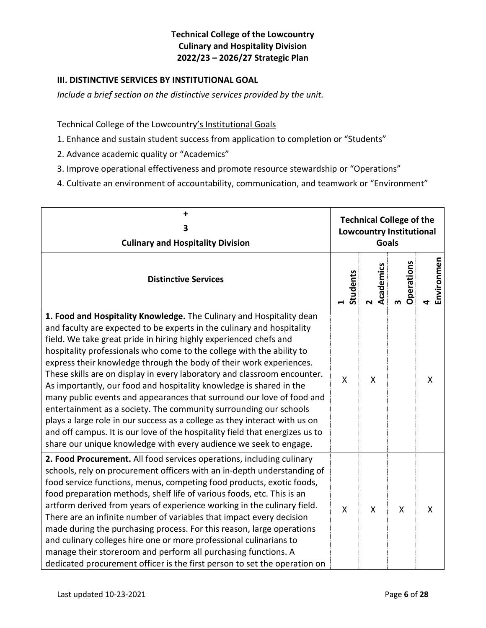#### **III. DISTINCTIVE SERVICES BY INSTITUTIONAL GOAL**

*Include a brief section on the distinctive services provided by the unit.*

Technical College of the Lowcountry's Institutional Goals

- 1. Enhance and sustain student success from application to completion or "Students"
- 2. Advance academic quality or "Academics"
- 3. Improve operational effectiveness and promote resource stewardship or "Operations"
- 4. Cultivate an environment of accountability, communication, and teamwork or "Environment"

| +<br>3<br><b>Culinary and Hospitality Division</b>                                                                                                                                                                                                                                                                                                                                                                                                                                                                                                                                                                                                                                                                                                    | <b>Technical College of the</b><br><b>Lowcountry Institutional</b><br><b>Goals</b> |                                    |                 |                 |
|-------------------------------------------------------------------------------------------------------------------------------------------------------------------------------------------------------------------------------------------------------------------------------------------------------------------------------------------------------------------------------------------------------------------------------------------------------------------------------------------------------------------------------------------------------------------------------------------------------------------------------------------------------------------------------------------------------------------------------------------------------|------------------------------------------------------------------------------------|------------------------------------|-----------------|-----------------|
| <b>Distinctive Services</b>                                                                                                                                                                                                                                                                                                                                                                                                                                                                                                                                                                                                                                                                                                                           | Students                                                                           | Academics<br>$\mathbf{\mathsf{N}}$ | Operations<br>m | Environmen<br>4 |
| 1. Food and Hospitality Knowledge. The Culinary and Hospitality dean<br>and faculty are expected to be experts in the culinary and hospitality                                                                                                                                                                                                                                                                                                                                                                                                                                                                                                                                                                                                        |                                                                                    |                                    |                 |                 |
| field. We take great pride in hiring highly experienced chefs and<br>hospitality professionals who come to the college with the ability to<br>express their knowledge through the body of their work experiences.<br>These skills are on display in every laboratory and classroom encounter.<br>As importantly, our food and hospitality knowledge is shared in the<br>many public events and appearances that surround our love of food and<br>entertainment as a society. The community surrounding our schools<br>plays a large role in our success as a college as they interact with us on<br>and off campus. It is our love of the hospitality field that energizes us to<br>share our unique knowledge with every audience we seek to engage. | Χ                                                                                  | X                                  |                 | X               |
| 2. Food Procurement. All food services operations, including culinary<br>schools, rely on procurement officers with an in-depth understanding of<br>food service functions, menus, competing food products, exotic foods,<br>food preparation methods, shelf life of various foods, etc. This is an<br>artform derived from years of experience working in the culinary field.<br>There are an infinite number of variables that impact every decision<br>made during the purchasing process. For this reason, large operations<br>and culinary colleges hire one or more professional culinarians to<br>manage their storeroom and perform all purchasing functions. A<br>dedicated procurement officer is the first person to set the operation on  | X                                                                                  | X                                  | X               | X               |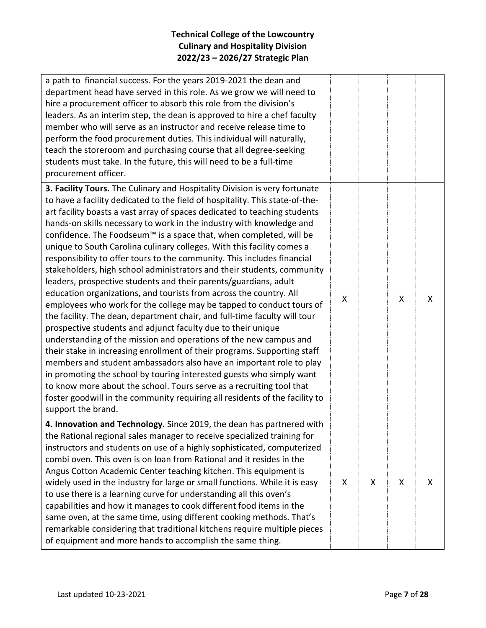| a path to financial success. For the years 2019-2021 the dean and<br>department head have served in this role. As we grow we will need to<br>hire a procurement officer to absorb this role from the division's<br>leaders. As an interim step, the dean is approved to hire a chef faculty<br>member who will serve as an instructor and receive release time to<br>perform the food procurement duties. This individual will naturally,<br>teach the storeroom and purchasing course that all degree-seeking<br>students must take. In the future, this will need to be a full-time<br>procurement officer.                                                                                                                                                                                                                                                                                                                                                                                                                                                                                                                                                                                                                                                                                                                                                                                                                                                    |   |   |   |   |
|------------------------------------------------------------------------------------------------------------------------------------------------------------------------------------------------------------------------------------------------------------------------------------------------------------------------------------------------------------------------------------------------------------------------------------------------------------------------------------------------------------------------------------------------------------------------------------------------------------------------------------------------------------------------------------------------------------------------------------------------------------------------------------------------------------------------------------------------------------------------------------------------------------------------------------------------------------------------------------------------------------------------------------------------------------------------------------------------------------------------------------------------------------------------------------------------------------------------------------------------------------------------------------------------------------------------------------------------------------------------------------------------------------------------------------------------------------------|---|---|---|---|
| 3. Facility Tours. The Culinary and Hospitality Division is very fortunate<br>to have a facility dedicated to the field of hospitality. This state-of-the-<br>art facility boasts a vast array of spaces dedicated to teaching students<br>hands-on skills necessary to work in the industry with knowledge and<br>confidence. The Foodseum™ is a space that, when completed, will be<br>unique to South Carolina culinary colleges. With this facility comes a<br>responsibility to offer tours to the community. This includes financial<br>stakeholders, high school administrators and their students, community<br>leaders, prospective students and their parents/guardians, adult<br>education organizations, and tourists from across the country. All<br>employees who work for the college may be tapped to conduct tours of<br>the facility. The dean, department chair, and full-time faculty will tour<br>prospective students and adjunct faculty due to their unique<br>understanding of the mission and operations of the new campus and<br>their stake in increasing enrollment of their programs. Supporting staff<br>members and student ambassadors also have an important role to play<br>in promoting the school by touring interested guests who simply want<br>to know more about the school. Tours serve as a recruiting tool that<br>foster goodwill in the community requiring all residents of the facility to<br>support the brand. | X |   | X | X |
| 4. Innovation and Technology. Since 2019, the dean has partnered with<br>the Rational regional sales manager to receive specialized training for<br>instructors and students on use of a highly sophisticated, computerized<br>combi oven. This oven is on loan from Rational and it resides in the<br>Angus Cotton Academic Center teaching kitchen. This equipment is<br>widely used in the industry for large or small functions. While it is easy<br>to use there is a learning curve for understanding all this oven's<br>capabilities and how it manages to cook different food items in the<br>same oven, at the same time, using different cooking methods. That's<br>remarkable considering that traditional kitchens require multiple pieces<br>of equipment and more hands to accomplish the same thing.                                                                                                                                                                                                                                                                                                                                                                                                                                                                                                                                                                                                                                              | X | X | X | X |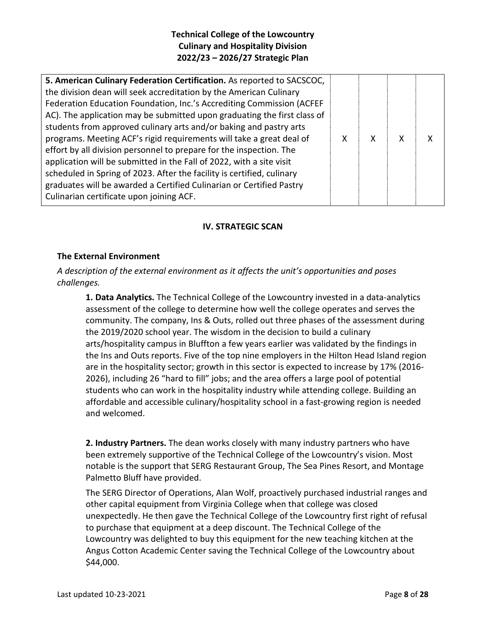### **IV. STRATEGIC SCAN**

#### **The External Environment**

*A description of the external environment as it affects the unit's opportunities and poses challenges.*

**1. Data Analytics.** The Technical College of the Lowcountry invested in a data-analytics assessment of the college to determine how well the college operates and serves the community. The company, Ins & Outs, rolled out three phases of the assessment during the 2019/2020 school year. The wisdom in the decision to build a culinary arts/hospitality campus in Bluffton a few years earlier was validated by the findings in the Ins and Outs reports. Five of the top nine employers in the Hilton Head Island region are in the hospitality sector; growth in this sector is expected to increase by 17% (2016- 2026), including 26 "hard to fill" jobs; and the area offers a large pool of potential students who can work in the hospitality industry while attending college. Building an affordable and accessible culinary/hospitality school in a fast-growing region is needed and welcomed.

**2. Industry Partners.** The dean works closely with many industry partners who have been extremely supportive of the Technical College of the Lowcountry's vision. Most notable is the support that SERG Restaurant Group, The Sea Pines Resort, and Montage Palmetto Bluff have provided.

The SERG Director of Operations, Alan Wolf, proactively purchased industrial ranges and other capital equipment from Virginia College when that college was closed unexpectedly. He then gave the Technical College of the Lowcountry first right of refusal to purchase that equipment at a deep discount. The Technical College of the Lowcountry was delighted to buy this equipment for the new teaching kitchen at the Angus Cotton Academic Center saving the Technical College of the Lowcountry about \$44,000.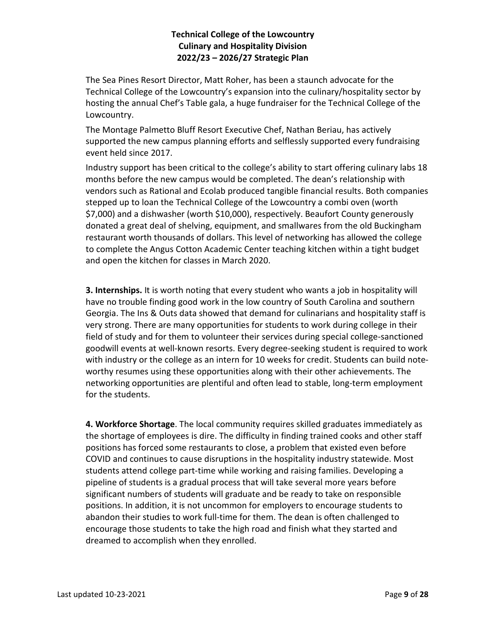The Sea Pines Resort Director, Matt Roher, has been a staunch advocate for the Technical College of the Lowcountry's expansion into the culinary/hospitality sector by hosting the annual Chef's Table gala, a huge fundraiser for the Technical College of the Lowcountry.

The Montage Palmetto Bluff Resort Executive Chef, Nathan Beriau, has actively supported the new campus planning efforts and selflessly supported every fundraising event held since 2017.

Industry support has been critical to the college's ability to start offering culinary labs 18 months before the new campus would be completed. The dean's relationship with vendors such as Rational and Ecolab produced tangible financial results. Both companies stepped up to loan the Technical College of the Lowcountry a combi oven (worth \$7,000) and a dishwasher (worth \$10,000), respectively. Beaufort County generously donated a great deal of shelving, equipment, and smallwares from the old Buckingham restaurant worth thousands of dollars. This level of networking has allowed the college to complete the Angus Cotton Academic Center teaching kitchen within a tight budget and open the kitchen for classes in March 2020.

**3. Internships.** It is worth noting that every student who wants a job in hospitality will have no trouble finding good work in the low country of South Carolina and southern Georgia. The Ins & Outs data showed that demand for culinarians and hospitality staff is very strong. There are many opportunities for students to work during college in their field of study and for them to volunteer their services during special college-sanctioned goodwill events at well-known resorts. Every degree-seeking student is required to work with industry or the college as an intern for 10 weeks for credit. Students can build noteworthy resumes using these opportunities along with their other achievements. The networking opportunities are plentiful and often lead to stable, long-term employment for the students.

**4. Workforce Shortage**. The local community requires skilled graduates immediately as the shortage of employees is dire. The difficulty in finding trained cooks and other staff positions has forced some restaurants to close, a problem that existed even before COVID and continues to cause disruptions in the hospitality industry statewide. Most students attend college part-time while working and raising families. Developing a pipeline of students is a gradual process that will take several more years before significant numbers of students will graduate and be ready to take on responsible positions. In addition, it is not uncommon for employers to encourage students to abandon their studies to work full-time for them. The dean is often challenged to encourage those students to take the high road and finish what they started and dreamed to accomplish when they enrolled.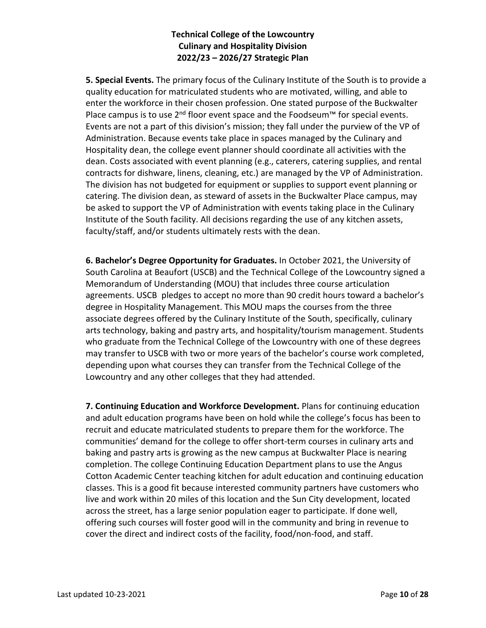**5. Special Events.** The primary focus of the Culinary Institute of the South is to provide a quality education for matriculated students who are motivated, willing, and able to enter the workforce in their chosen profession. One stated purpose of the Buckwalter Place campus is to use 2<sup>nd</sup> floor event space and the Foodseum<sup>™</sup> for special events. Events are not a part of this division's mission; they fall under the purview of the VP of Administration. Because events take place in spaces managed by the Culinary and Hospitality dean, the college event planner should coordinate all activities with the dean. Costs associated with event planning (e.g., caterers, catering supplies, and rental contracts for dishware, linens, cleaning, etc.) are managed by the VP of Administration. The division has not budgeted for equipment or supplies to support event planning or catering. The division dean, as steward of assets in the Buckwalter Place campus, may be asked to support the VP of Administration with events taking place in the Culinary Institute of the South facility. All decisions regarding the use of any kitchen assets, faculty/staff, and/or students ultimately rests with the dean.

**6. Bachelor's Degree Opportunity for Graduates.** In October 2021, the University of South Carolina at Beaufort (USCB) and the Technical College of the Lowcountry signed a Memorandum of Understanding (MOU) that includes three course articulation agreements. USCB pledges to accept no more than 90 credit hours toward a bachelor's degree in Hospitality Management. This MOU maps the courses from the three associate degrees offered by the Culinary Institute of the South, specifically, culinary arts technology, baking and pastry arts, and hospitality/tourism management. Students who graduate from the Technical College of the Lowcountry with one of these degrees may transfer to USCB with two or more years of the bachelor's course work completed, depending upon what courses they can transfer from the Technical College of the Lowcountry and any other colleges that they had attended.

**7. Continuing Education and Workforce Development.** Plans for continuing education and adult education programs have been on hold while the college's focus has been to recruit and educate matriculated students to prepare them for the workforce. The communities' demand for the college to offer short-term courses in culinary arts and baking and pastry arts is growing as the new campus at Buckwalter Place is nearing completion. The college Continuing Education Department plans to use the Angus Cotton Academic Center teaching kitchen for adult education and continuing education classes. This is a good fit because interested community partners have customers who live and work within 20 miles of this location and the Sun City development, located across the street, has a large senior population eager to participate. If done well, offering such courses will foster good will in the community and bring in revenue to cover the direct and indirect costs of the facility, food/non-food, and staff.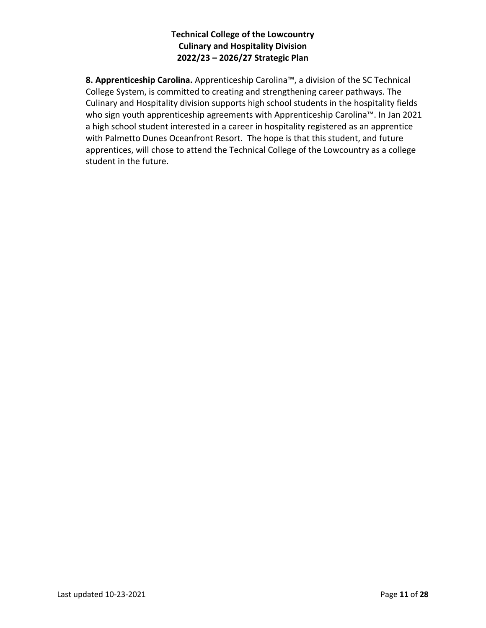**8. Apprenticeship Carolina.** Apprenticeship Carolina™, a division of the SC Technical College System, is committed to creating and strengthening career pathways. The Culinary and Hospitality division supports high school students in the hospitality fields who sign youth apprenticeship agreements with Apprenticeship Carolina™. In Jan 2021 a high school student interested in a career in hospitality registered as an apprentice with Palmetto Dunes Oceanfront Resort. The hope is that this student, and future apprentices, will chose to attend the Technical College of the Lowcountry as a college student in the future.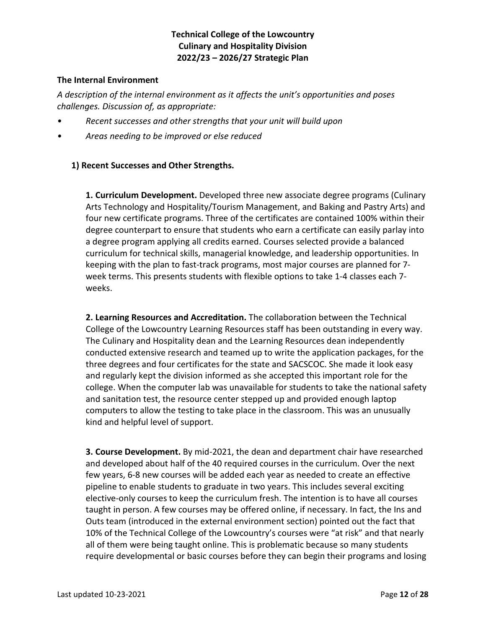#### **The Internal Environment**

*A description of the internal environment as it affects the unit's opportunities and poses challenges. Discussion of, as appropriate:*

- *• Recent successes and other strengths that your unit will build upon*
- *• Areas needing to be improved or else reduced*

## **1) Recent Successes and Other Strengths.**

**1. Curriculum Development.** Developed three new associate degree programs (Culinary Arts Technology and Hospitality/Tourism Management, and Baking and Pastry Arts) and four new certificate programs. Three of the certificates are contained 100% within their degree counterpart to ensure that students who earn a certificate can easily parlay into a degree program applying all credits earned. Courses selected provide a balanced curriculum for technical skills, managerial knowledge, and leadership opportunities. In keeping with the plan to fast-track programs, most major courses are planned for 7 week terms. This presents students with flexible options to take 1-4 classes each 7 weeks.

**2. Learning Resources and Accreditation.** The collaboration between the Technical College of the Lowcountry Learning Resources staff has been outstanding in every way. The Culinary and Hospitality dean and the Learning Resources dean independently conducted extensive research and teamed up to write the application packages, for the three degrees and four certificates for the state and SACSCOC. She made it look easy and regularly kept the division informed as she accepted this important role for the college. When the computer lab was unavailable for students to take the national safety and sanitation test, the resource center stepped up and provided enough laptop computers to allow the testing to take place in the classroom. This was an unusually kind and helpful level of support.

**3. Course Development.** By mid-2021, the dean and department chair have researched and developed about half of the 40 required courses in the curriculum. Over the next few years, 6-8 new courses will be added each year as needed to create an effective pipeline to enable students to graduate in two years. This includes several exciting elective-only courses to keep the curriculum fresh. The intention is to have all courses taught in person. A few courses may be offered online, if necessary. In fact, the Ins and Outs team (introduced in the external environment section) pointed out the fact that 10% of the Technical College of the Lowcountry's courses were "at risk" and that nearly all of them were being taught online. This is problematic because so many students require developmental or basic courses before they can begin their programs and losing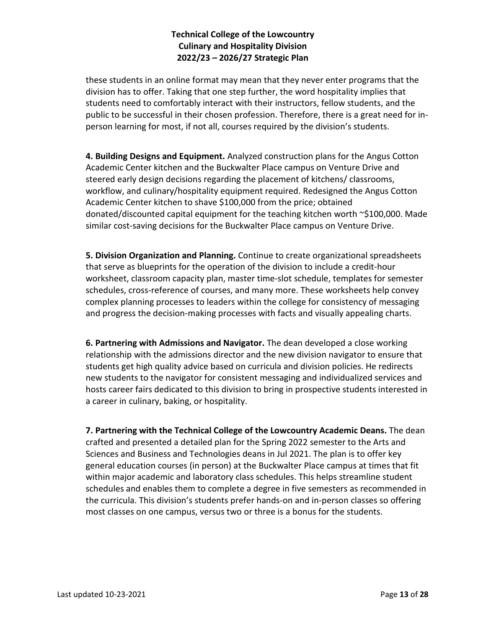these students in an online format may mean that they never enter programs that the division has to offer. Taking that one step further, the word hospitality implies that students need to comfortably interact with their instructors, fellow students, and the public to be successful in their chosen profession. Therefore, there is a great need for inperson learning for most, if not all, courses required by the division's students.

**4. Building Designs and Equipment.** Analyzed construction plans for the Angus Cotton Academic Center kitchen and the Buckwalter Place campus on Venture Drive and steered early design decisions regarding the placement of kitchens/ classrooms, workflow, and culinary/hospitality equipment required. Redesigned the Angus Cotton Academic Center kitchen to shave \$100,000 from the price; obtained donated/discounted capital equipment for the teaching kitchen worth ~\$100,000. Made similar cost-saving decisions for the Buckwalter Place campus on Venture Drive.

**5. Division Organization and Planning.** Continue to create organizational spreadsheets that serve as blueprints for the operation of the division to include a credit-hour worksheet, classroom capacity plan, master time-slot schedule, templates for semester schedules, cross-reference of courses, and many more. These worksheets help convey complex planning processes to leaders within the college for consistency of messaging and progress the decision-making processes with facts and visually appealing charts.

**6. Partnering with Admissions and Navigator.** The dean developed a close working relationship with the admissions director and the new division navigator to ensure that students get high quality advice based on curricula and division policies. He redirects new students to the navigator for consistent messaging and individualized services and hosts career fairs dedicated to this division to bring in prospective students interested in a career in culinary, baking, or hospitality.

**7. Partnering with the Technical College of the Lowcountry Academic Deans.** The dean crafted and presented a detailed plan for the Spring 2022 semester to the Arts and Sciences and Business and Technologies deans in Jul 2021. The plan is to offer key general education courses (in person) at the Buckwalter Place campus at times that fit within major academic and laboratory class schedules. This helps streamline student schedules and enables them to complete a degree in five semesters as recommended in the curricula. This division's students prefer hands-on and in-person classes so offering most classes on one campus, versus two or three is a bonus for the students.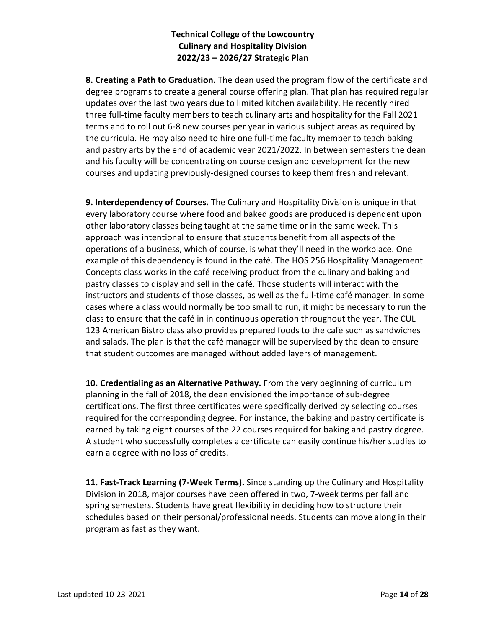**8. Creating a Path to Graduation.** The dean used the program flow of the certificate and degree programs to create a general course offering plan. That plan has required regular updates over the last two years due to limited kitchen availability. He recently hired three full-time faculty members to teach culinary arts and hospitality for the Fall 2021 terms and to roll out 6-8 new courses per year in various subject areas as required by the curricula. He may also need to hire one full-time faculty member to teach baking and pastry arts by the end of academic year 2021/2022. In between semesters the dean and his faculty will be concentrating on course design and development for the new courses and updating previously-designed courses to keep them fresh and relevant.

**9. Interdependency of Courses.** The Culinary and Hospitality Division is unique in that every laboratory course where food and baked goods are produced is dependent upon other laboratory classes being taught at the same time or in the same week. This approach was intentional to ensure that students benefit from all aspects of the operations of a business, which of course, is what they'll need in the workplace. One example of this dependency is found in the café. The HOS 256 Hospitality Management Concepts class works in the café receiving product from the culinary and baking and pastry classes to display and sell in the café. Those students will interact with the instructors and students of those classes, as well as the full-time café manager. In some cases where a class would normally be too small to run, it might be necessary to run the class to ensure that the café in in continuous operation throughout the year. The CUL 123 American Bistro class also provides prepared foods to the café such as sandwiches and salads. The plan is that the café manager will be supervised by the dean to ensure that student outcomes are managed without added layers of management.

**10. Credentialing as an Alternative Pathway.** From the very beginning of curriculum planning in the fall of 2018, the dean envisioned the importance of sub-degree certifications. The first three certificates were specifically derived by selecting courses required for the corresponding degree. For instance, the baking and pastry certificate is earned by taking eight courses of the 22 courses required for baking and pastry degree. A student who successfully completes a certificate can easily continue his/her studies to earn a degree with no loss of credits.

**11. Fast-Track Learning (7-Week Terms).** Since standing up the Culinary and Hospitality Division in 2018, major courses have been offered in two, 7-week terms per fall and spring semesters. Students have great flexibility in deciding how to structure their schedules based on their personal/professional needs. Students can move along in their program as fast as they want.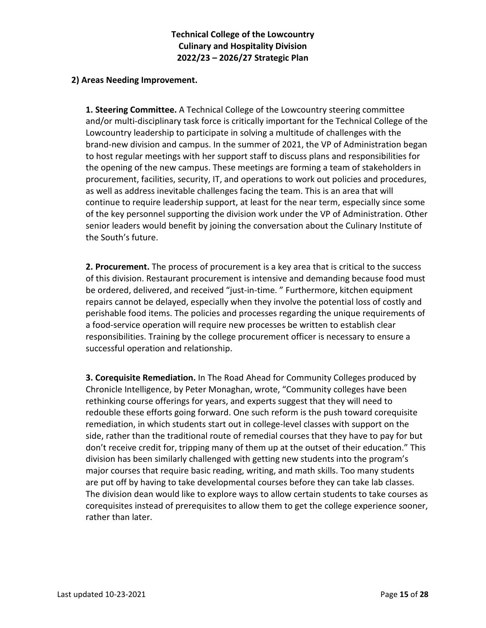#### **2) Areas Needing Improvement.**

**1. Steering Committee.** A Technical College of the Lowcountry steering committee and/or multi-disciplinary task force is critically important for the Technical College of the Lowcountry leadership to participate in solving a multitude of challenges with the brand-new division and campus. In the summer of 2021, the VP of Administration began to host regular meetings with her support staff to discuss plans and responsibilities for the opening of the new campus. These meetings are forming a team of stakeholders in procurement, facilities, security, IT, and operations to work out policies and procedures, as well as address inevitable challenges facing the team. This is an area that will continue to require leadership support, at least for the near term, especially since some of the key personnel supporting the division work under the VP of Administration. Other senior leaders would benefit by joining the conversation about the Culinary Institute of the South's future.

**2. Procurement.** The process of procurement is a key area that is critical to the success of this division. Restaurant procurement is intensive and demanding because food must be ordered, delivered, and received "just-in-time. " Furthermore, kitchen equipment repairs cannot be delayed, especially when they involve the potential loss of costly and perishable food items. The policies and processes regarding the unique requirements of a food-service operation will require new processes be written to establish clear responsibilities. Training by the college procurement officer is necessary to ensure a successful operation and relationship.

**3. Corequisite Remediation.** In The Road Ahead for Community Colleges produced by Chronicle Intelligence, by Peter Monaghan, wrote, "Community colleges have been rethinking course offerings for years, and experts suggest that they will need to redouble these efforts going forward. One such reform is the push toward corequisite remediation, in which students start out in college-level classes with support on the side, rather than the traditional route of remedial courses that they have to pay for but don't receive credit for, tripping many of them up at the outset of their education." This division has been similarly challenged with getting new students into the program's major courses that require basic reading, writing, and math skills. Too many students are put off by having to take developmental courses before they can take lab classes. The division dean would like to explore ways to allow certain students to take courses as corequisites instead of prerequisites to allow them to get the college experience sooner, rather than later.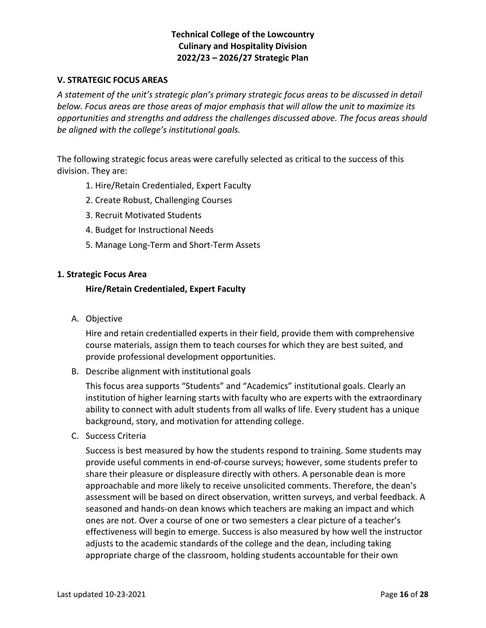#### **V. STRATEGIC FOCUS AREAS**

*A statement of the unit's strategic plan's primary strategic focus areas to be discussed in detail below. Focus areas are those areas of major emphasis that will allow the unit to maximize its opportunities and strengths and address the challenges discussed above. The focus areas should be aligned with the college's institutional goals.*

The following strategic focus areas were carefully selected as critical to the success of this division. They are:

- 1. Hire/Retain Credentialed, Expert Faculty
- 2. Create Robust, Challenging Courses
- 3. Recruit Motivated Students
- 4. Budget for Instructional Needs
- 5. Manage Long-Term and Short-Term Assets

#### **1. Strategic Focus Area**

#### **Hire/Retain Credentialed, Expert Faculty**

A. Objective

Hire and retain credentialled experts in their field, provide them with comprehensive course materials, assign them to teach courses for which they are best suited, and provide professional development opportunities.

B. Describe alignment with institutional goals

This focus area supports "Students" and "Academics" institutional goals. Clearly an institution of higher learning starts with faculty who are experts with the extraordinary ability to connect with adult students from all walks of life. Every student has a unique background, story, and motivation for attending college.

C. Success Criteria

Success is best measured by how the students respond to training. Some students may provide useful comments in end-of-course surveys; however, some students prefer to share their pleasure or displeasure directly with others. A personable dean is more approachable and more likely to receive unsolicited comments. Therefore, the dean's assessment will be based on direct observation, written surveys, and verbal feedback. A seasoned and hands-on dean knows which teachers are making an impact and which ones are not. Over a course of one or two semesters a clear picture of a teacher's effectiveness will begin to emerge. Success is also measured by how well the instructor adjusts to the academic standards of the college and the dean, including taking appropriate charge of the classroom, holding students accountable for their own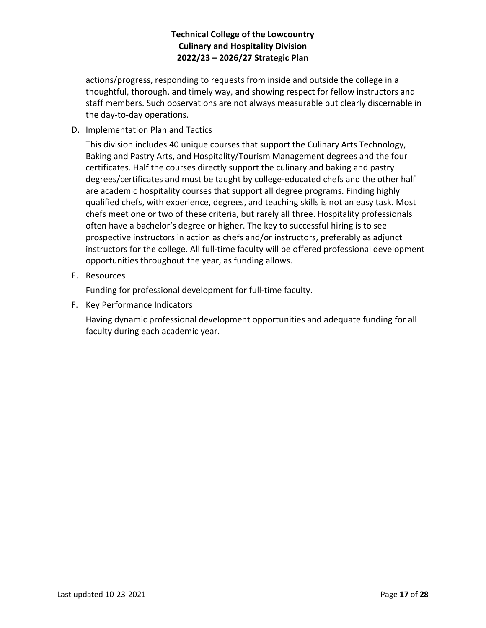actions/progress, responding to requests from inside and outside the college in a thoughtful, thorough, and timely way, and showing respect for fellow instructors and staff members. Such observations are not always measurable but clearly discernable in the day-to-day operations.

D. Implementation Plan and Tactics

This division includes 40 unique courses that support the Culinary Arts Technology, Baking and Pastry Arts, and Hospitality/Tourism Management degrees and the four certificates. Half the courses directly support the culinary and baking and pastry degrees/certificates and must be taught by college-educated chefs and the other half are academic hospitality courses that support all degree programs. Finding highly qualified chefs, with experience, degrees, and teaching skills is not an easy task. Most chefs meet one or two of these criteria, but rarely all three. Hospitality professionals often have a bachelor's degree or higher. The key to successful hiring is to see prospective instructors in action as chefs and/or instructors, preferably as adjunct instructors for the college. All full-time faculty will be offered professional development opportunities throughout the year, as funding allows.

E. Resources

Funding for professional development for full-time faculty.

F. Key Performance Indicators

Having dynamic professional development opportunities and adequate funding for all faculty during each academic year.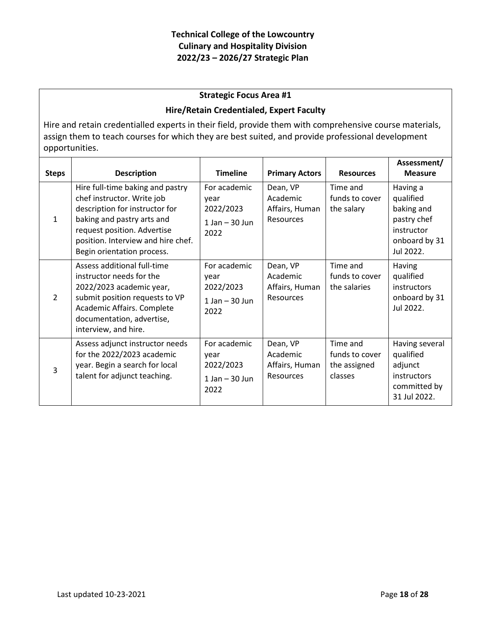#### **Strategic Focus Area #1**

#### **Hire/Retain Credentialed, Expert Faculty**

Hire and retain credentialled experts in their field, provide them with comprehensive course materials, assign them to teach courses for which they are best suited, and provide professional development opportunities.

| <b>Steps</b>  | <b>Description</b>                                                                                                                                                                                                                | <b>Timeline</b>                                                 | <b>Primary Actors</b>                                      | <b>Resources</b>                                      | Assessment/<br><b>Measure</b>                                                                  |
|---------------|-----------------------------------------------------------------------------------------------------------------------------------------------------------------------------------------------------------------------------------|-----------------------------------------------------------------|------------------------------------------------------------|-------------------------------------------------------|------------------------------------------------------------------------------------------------|
| $\mathbf{1}$  | Hire full-time baking and pastry<br>chef instructor. Write job<br>description for instructor for<br>baking and pastry arts and<br>request position. Advertise<br>position. Interview and hire chef.<br>Begin orientation process. | For academic<br>vear<br>2022/2023<br>$1$ Jan $-$ 30 Jun<br>2022 | Dean, VP<br>Academic<br>Affairs, Human<br><b>Resources</b> | Time and<br>funds to cover<br>the salary              | Having a<br>qualified<br>baking and<br>pastry chef<br>instructor<br>onboard by 31<br>Jul 2022. |
| $\mathcal{L}$ | Assess additional full-time<br>instructor needs for the<br>2022/2023 academic year,<br>submit position requests to VP<br>Academic Affairs. Complete<br>documentation, advertise,<br>interview, and hire.                          | For academic<br>year<br>2022/2023<br>$1$ Jan $-$ 30 Jun<br>2022 | Dean, VP<br>Academic<br>Affairs, Human<br><b>Resources</b> | Time and<br>funds to cover<br>the salaries            | Having<br>qualified<br>instructors<br>onboard by 31<br>Jul 2022.                               |
| 3             | Assess adjunct instructor needs<br>for the 2022/2023 academic<br>year. Begin a search for local<br>talent for adjunct teaching.                                                                                                   | For academic<br>year<br>2022/2023<br>$1$ Jan $-$ 30 Jun<br>2022 | Dean, VP<br>Academic<br>Affairs, Human<br><b>Resources</b> | Time and<br>funds to cover<br>the assigned<br>classes | Having several<br>qualified<br>adjunct<br>instructors<br>committed by<br>31 Jul 2022.          |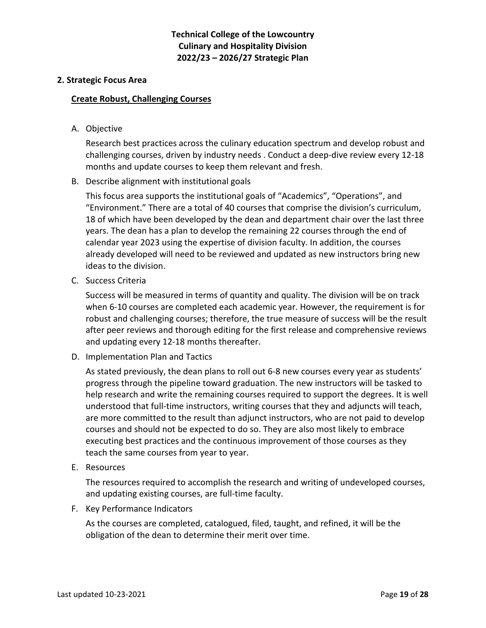#### **2. Strategic Focus Area**

#### **Create Robust, Challenging Courses**

A. Objective

Research best practices across the culinary education spectrum and develop robust and challenging courses, driven by industry needs . Conduct a deep-dive review every 12-18 months and update courses to keep them relevant and fresh.

B. Describe alignment with institutional goals

This focus area supports the institutional goals of "Academics", "Operations", and "Environment." There are a total of 40 courses that comprise the division's curriculum, 18 of which have been developed by the dean and department chair over the last three years. The dean has a plan to develop the remaining 22 courses through the end of calendar year 2023 using the expertise of division faculty. In addition, the courses already developed will need to be reviewed and updated as new instructors bring new ideas to the division.

C. Success Criteria

Success will be measured in terms of quantity and quality. The division will be on track when 6-10 courses are completed each academic year. However, the requirement is for robust and challenging courses; therefore, the true measure of success will be the result after peer reviews and thorough editing for the first release and comprehensive reviews and updating every 12-18 months thereafter.

D. Implementation Plan and Tactics

As stated previously, the dean plans to roll out 6-8 new courses every year as students' progress through the pipeline toward graduation. The new instructors will be tasked to help research and write the remaining courses required to support the degrees. It is well understood that full-time instructors, writing courses that they and adjuncts will teach, are more committed to the result than adjunct instructors, who are not paid to develop courses and should not be expected to do so. They are also most likely to embrace executing best practices and the continuous improvement of those courses as they teach the same courses from year to year.

E. Resources

The resources required to accomplish the research and writing of undeveloped courses, and updating existing courses, are full-time faculty.

F. Key Performance Indicators

As the courses are completed, catalogued, filed, taught, and refined, it will be the obligation of the dean to determine their merit over time.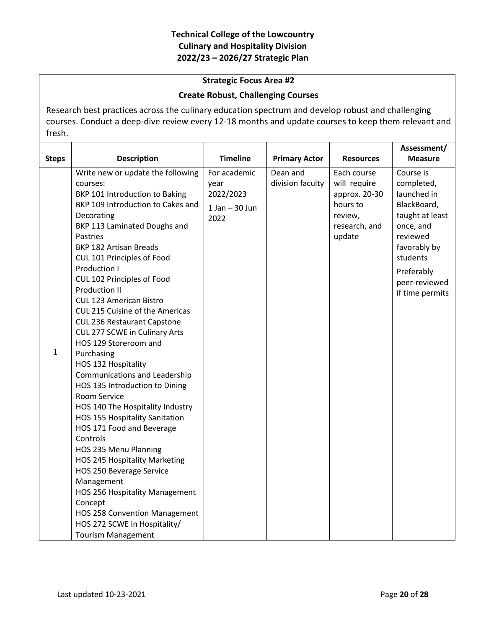#### **Strategic Focus Area #2**

#### **Create Robust, Challenging Courses**

Research best practices across the culinary education spectrum and develop robust and challenging courses. Conduct a deep-dive review every 12-18 months and update courses to keep them relevant and fresh.

|              |                                       |                   |                      |                  | Assessment/     |
|--------------|---------------------------------------|-------------------|----------------------|------------------|-----------------|
| <b>Steps</b> | <b>Description</b>                    | <b>Timeline</b>   | <b>Primary Actor</b> | <b>Resources</b> | <b>Measure</b>  |
|              | Write new or update the following     | For academic      | Dean and             | Each course      | Course is       |
|              | courses:                              | year              | division faculty     | will require     | completed,      |
|              | BKP 101 Introduction to Baking        | 2022/2023         |                      | approx. 20-30    | launched in     |
|              | BKP 109 Introduction to Cakes and     | $1$ Jan $-30$ Jun |                      | hours to         | BlackBoard,     |
|              | Decorating                            | 2022              |                      | review,          | taught at least |
|              | BKP 113 Laminated Doughs and          |                   |                      | research, and    | once, and       |
|              | <b>Pastries</b>                       |                   |                      | update           | reviewed        |
|              | <b>BKP 182 Artisan Breads</b>         |                   |                      |                  | favorably by    |
|              | CUL 101 Principles of Food            |                   |                      |                  | students        |
|              | Production I                          |                   |                      |                  | Preferably      |
|              | CUL 102 Principles of Food            |                   |                      |                  | peer-reviewed   |
|              | <b>Production II</b>                  |                   |                      |                  | if time permits |
|              | <b>CUL 123 American Bistro</b>        |                   |                      |                  |                 |
|              | CUL 215 Cuisine of the Americas       |                   |                      |                  |                 |
|              | <b>CUL 236 Restaurant Capstone</b>    |                   |                      |                  |                 |
|              | CUL 277 SCWE in Culinary Arts         |                   |                      |                  |                 |
| 1            | HOS 129 Storeroom and                 |                   |                      |                  |                 |
|              | Purchasing                            |                   |                      |                  |                 |
|              | HOS 132 Hospitality                   |                   |                      |                  |                 |
|              | <b>Communications and Leadership</b>  |                   |                      |                  |                 |
|              | HOS 135 Introduction to Dining        |                   |                      |                  |                 |
|              | Room Service                          |                   |                      |                  |                 |
|              | HOS 140 The Hospitality Industry      |                   |                      |                  |                 |
|              | HOS 155 Hospitality Sanitation        |                   |                      |                  |                 |
|              | HOS 171 Food and Beverage<br>Controls |                   |                      |                  |                 |
|              | HOS 235 Menu Planning                 |                   |                      |                  |                 |
|              | HOS 245 Hospitality Marketing         |                   |                      |                  |                 |
|              | HOS 250 Beverage Service              |                   |                      |                  |                 |
|              | Management                            |                   |                      |                  |                 |
|              | HOS 256 Hospitality Management        |                   |                      |                  |                 |
|              | Concept                               |                   |                      |                  |                 |
|              | <b>HOS 258 Convention Management</b>  |                   |                      |                  |                 |
|              | HOS 272 SCWE in Hospitality/          |                   |                      |                  |                 |
|              | <b>Tourism Management</b>             |                   |                      |                  |                 |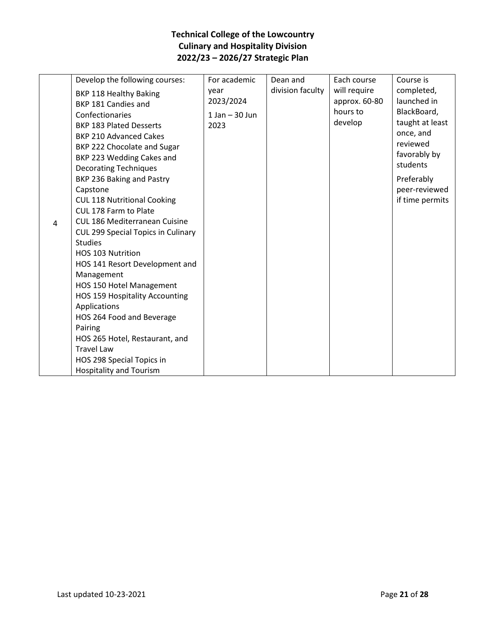|   | Develop the following courses:        | For academic       | Dean and         | Each course   | Course is       |
|---|---------------------------------------|--------------------|------------------|---------------|-----------------|
|   | BKP 118 Healthy Baking                | year               | division faculty | will require  | completed,      |
|   | BKP 181 Candies and                   | 2023/2024          |                  | approx. 60-80 | launched in     |
|   | Confectionaries                       | $1$ Jan $-$ 30 Jun |                  | hours to      | BlackBoard,     |
|   | <b>BKP 183 Plated Desserts</b>        | 2023               |                  | develop       | taught at least |
|   | <b>BKP 210 Advanced Cakes</b>         |                    |                  |               | once, and       |
|   | BKP 222 Chocolate and Sugar           |                    |                  |               | reviewed        |
|   | BKP 223 Wedding Cakes and             |                    |                  |               | favorably by    |
|   | <b>Decorating Techniques</b>          |                    |                  |               | students        |
|   | BKP 236 Baking and Pastry             |                    |                  |               | Preferably      |
|   | Capstone                              |                    |                  |               | peer-reviewed   |
|   | <b>CUL 118 Nutritional Cooking</b>    |                    |                  |               | if time permits |
|   | CUL 178 Farm to Plate                 |                    |                  |               |                 |
| 4 | <b>CUL 186 Mediterranean Cuisine</b>  |                    |                  |               |                 |
|   | CUL 299 Special Topics in Culinary    |                    |                  |               |                 |
|   | <b>Studies</b>                        |                    |                  |               |                 |
|   | <b>HOS 103 Nutrition</b>              |                    |                  |               |                 |
|   | HOS 141 Resort Development and        |                    |                  |               |                 |
|   | Management                            |                    |                  |               |                 |
|   | HOS 150 Hotel Management              |                    |                  |               |                 |
|   | <b>HOS 159 Hospitality Accounting</b> |                    |                  |               |                 |
|   | Applications                          |                    |                  |               |                 |
|   | HOS 264 Food and Beverage             |                    |                  |               |                 |
|   | Pairing                               |                    |                  |               |                 |
|   | HOS 265 Hotel, Restaurant, and        |                    |                  |               |                 |
|   | <b>Travel Law</b>                     |                    |                  |               |                 |
|   | HOS 298 Special Topics in             |                    |                  |               |                 |
|   | <b>Hospitality and Tourism</b>        |                    |                  |               |                 |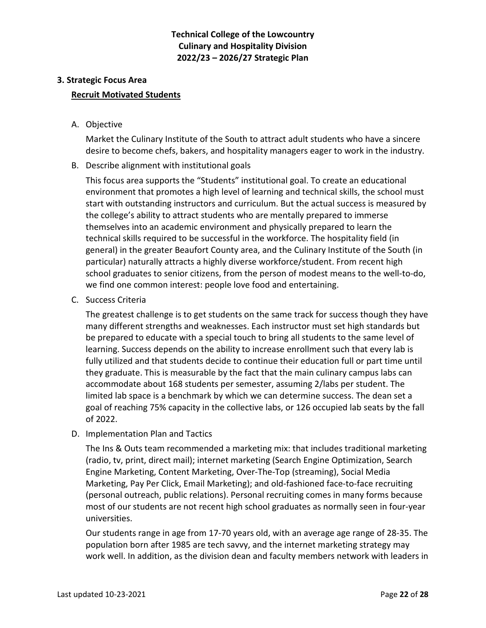# **3. Strategic Focus Area**

#### **Recruit Motivated Students**

A. Objective

Market the Culinary Institute of the South to attract adult students who have a sincere desire to become chefs, bakers, and hospitality managers eager to work in the industry.

B. Describe alignment with institutional goals

This focus area supports the "Students" institutional goal. To create an educational environment that promotes a high level of learning and technical skills, the school must start with outstanding instructors and curriculum. But the actual success is measured by the college's ability to attract students who are mentally prepared to immerse themselves into an academic environment and physically prepared to learn the technical skills required to be successful in the workforce. The hospitality field (in general) in the greater Beaufort County area, and the Culinary Institute of the South (in particular) naturally attracts a highly diverse workforce/student. From recent high school graduates to senior citizens, from the person of modest means to the well-to-do, we find one common interest: people love food and entertaining.

C. Success Criteria

The greatest challenge is to get students on the same track for success though they have many different strengths and weaknesses. Each instructor must set high standards but be prepared to educate with a special touch to bring all students to the same level of learning. Success depends on the ability to increase enrollment such that every lab is fully utilized and that students decide to continue their education full or part time until they graduate. This is measurable by the fact that the main culinary campus labs can accommodate about 168 students per semester, assuming 2/labs per student. The limited lab space is a benchmark by which we can determine success. The dean set a goal of reaching 75% capacity in the collective labs, or 126 occupied lab seats by the fall of 2022.

D. Implementation Plan and Tactics

The Ins & Outs team recommended a marketing mix: that includes traditional marketing (radio, tv, print, direct mail); internet marketing (Search Engine Optimization, Search Engine Marketing, Content Marketing, Over-The-Top (streaming), Social Media Marketing, Pay Per Click, Email Marketing); and old-fashioned face-to-face recruiting (personal outreach, public relations). Personal recruiting comes in many forms because most of our students are not recent high school graduates as normally seen in four-year universities.

Our students range in age from 17-70 years old, with an average age range of 28-35. The population born after 1985 are tech savvy, and the internet marketing strategy may work well. In addition, as the division dean and faculty members network with leaders in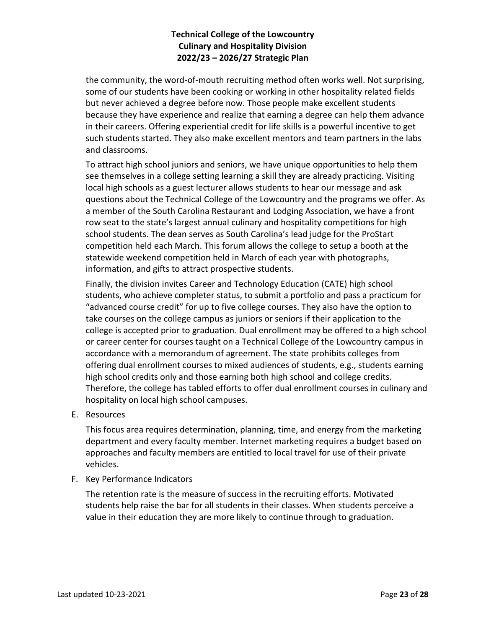the community, the word-of-mouth recruiting method often works well. Not surprising, some of our students have been cooking or working in other hospitality related fields but never achieved a degree before now. Those people make excellent students because they have experience and realize that earning a degree can help them advance in their careers. Offering experiential credit for life skills is a powerful incentive to get such students started. They also make excellent mentors and team partners in the labs and classrooms.

To attract high school juniors and seniors, we have unique opportunities to help them see themselves in a college setting learning a skill they are already practicing. Visiting local high schools as a guest lecturer allows students to hear our message and ask questions about the Technical College of the Lowcountry and the programs we offer. As a member of the South Carolina Restaurant and Lodging Association, we have a front row seat to the state's largest annual culinary and hospitality competitions for high school students. The dean serves as South Carolina's lead judge for the ProStart competition held each March. This forum allows the college to setup a booth at the statewide weekend competition held in March of each year with photographs, information, and gifts to attract prospective students.

Finally, the division invites Career and Technology Education (CATE) high school students, who achieve completer status, to submit a portfolio and pass a practicum for "advanced course credit" for up to five college courses. They also have the option to take courses on the college campus as juniors or seniors if their application to the college is accepted prior to graduation. Dual enrollment may be offered to a high school or career center for courses taught on a Technical College of the Lowcountry campus in accordance with a memorandum of agreement. The state prohibits colleges from offering dual enrollment courses to mixed audiences of students, e.g., students earning high school credits only and those earning both high school and college credits. Therefore, the college has tabled efforts to offer dual enrollment courses in culinary and hospitality on local high school campuses.

E. Resources

This focus area requires determination, planning, time, and energy from the marketing department and every faculty member. Internet marketing requires a budget based on approaches and faculty members are entitled to local travel for use of their private vehicles.

F. Key Performance Indicators

The retention rate is the measure of success in the recruiting efforts. Motivated students help raise the bar for all students in their classes. When students perceive a value in their education they are more likely to continue through to graduation.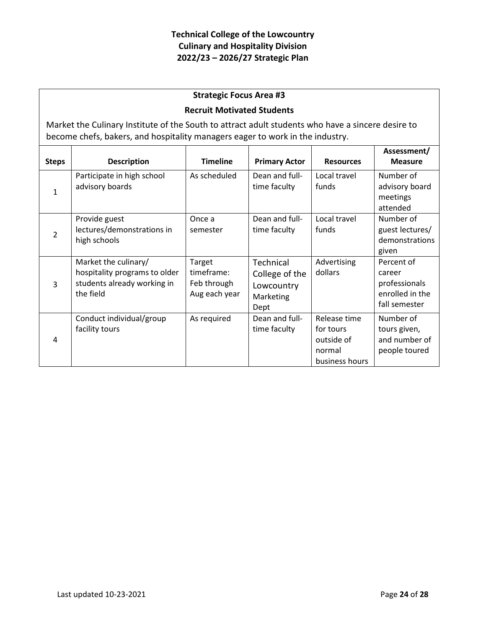## **Strategic Focus Area #3**

#### **Recruit Motivated Students**

Market the Culinary Institute of the South to attract adult students who have a sincere desire to become chefs, bakers, and hospitality managers eager to work in the industry.

| <b>Steps</b>   | <b>Description</b>                                                                                | <b>Timeline</b>                                      | <b>Primary Actor</b>                                           | <b>Resources</b>                                                    | Assessment/<br><b>Measure</b>                                             |
|----------------|---------------------------------------------------------------------------------------------------|------------------------------------------------------|----------------------------------------------------------------|---------------------------------------------------------------------|---------------------------------------------------------------------------|
| 1              | Participate in high school<br>advisory boards                                                     | As scheduled                                         | Dean and full-<br>time faculty                                 | Local travel<br>funds                                               | Number of<br>advisory board<br>meetings<br>attended                       |
| $\overline{2}$ | Provide guest<br>lectures/demonstrations in<br>high schools                                       | Once a<br>semester                                   | Dean and full-<br>time faculty                                 | Local travel<br>funds                                               | Number of<br>guest lectures/<br>demonstrations<br>given                   |
| 3              | Market the culinary/<br>hospitality programs to older<br>students already working in<br>the field | Target<br>timeframe:<br>Feb through<br>Aug each year | Technical<br>College of the<br>Lowcountry<br>Marketing<br>Dept | Advertising<br>dollars                                              | Percent of<br>career<br>professionals<br>enrolled in the<br>fall semester |
| 4              | Conduct individual/group<br>facility tours                                                        | As required                                          | Dean and full-<br>time faculty                                 | Release time<br>for tours<br>outside of<br>normal<br>business hours | Number of<br>tours given,<br>and number of<br>people toured               |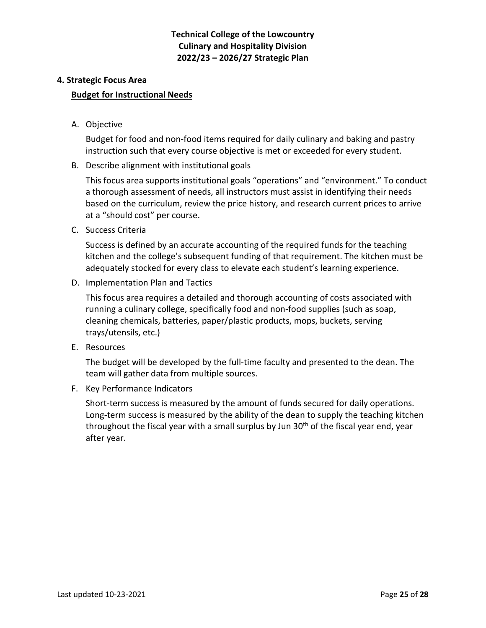#### **4. Strategic Focus Area**

#### **Budget for Instructional Needs**

A. Objective

Budget for food and non-food items required for daily culinary and baking and pastry instruction such that every course objective is met or exceeded for every student.

B. Describe alignment with institutional goals

This focus area supports institutional goals "operations" and "environment." To conduct a thorough assessment of needs, all instructors must assist in identifying their needs based on the curriculum, review the price history, and research current prices to arrive at a "should cost" per course.

C. Success Criteria

Success is defined by an accurate accounting of the required funds for the teaching kitchen and the college's subsequent funding of that requirement. The kitchen must be adequately stocked for every class to elevate each student's learning experience.

D. Implementation Plan and Tactics

This focus area requires a detailed and thorough accounting of costs associated with running a culinary college, specifically food and non-food supplies (such as soap, cleaning chemicals, batteries, paper/plastic products, mops, buckets, serving trays/utensils, etc.)

E. Resources

The budget will be developed by the full-time faculty and presented to the dean. The team will gather data from multiple sources.

F. Key Performance Indicators

Short-term success is measured by the amount of funds secured for daily operations. Long-term success is measured by the ability of the dean to supply the teaching kitchen throughout the fiscal year with a small surplus by Jun  $30<sup>th</sup>$  of the fiscal year end, year after year.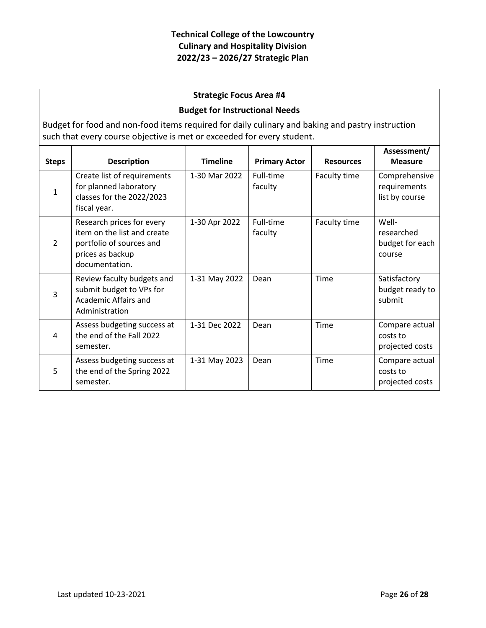## **Strategic Focus Area #4**

#### **Budget for Instructional Needs**

Budget for food and non-food items required for daily culinary and baking and pastry instruction such that every course objective is met or exceeded for every student.

| <b>Steps</b>  | <b>Description</b>                                                                                                         | <b>Timeline</b> | <b>Primary Actor</b> | <b>Resources</b> | Assessment/<br><b>Measure</b>                    |
|---------------|----------------------------------------------------------------------------------------------------------------------------|-----------------|----------------------|------------------|--------------------------------------------------|
| $\mathbf{1}$  | Create list of requirements<br>for planned laboratory<br>classes for the 2022/2023<br>fiscal year.                         | 1-30 Mar 2022   | Full-time<br>faculty | Faculty time     | Comprehensive<br>requirements<br>list by course  |
| $\mathcal{P}$ | Research prices for every<br>item on the list and create<br>portfolio of sources and<br>prices as backup<br>documentation. | 1-30 Apr 2022   | Full-time<br>faculty | Faculty time     | Well-<br>researched<br>budget for each<br>course |
| 3             | Review faculty budgets and<br>submit budget to VPs for<br>Academic Affairs and<br>Administration                           | 1-31 May 2022   | Dean                 | Time             | Satisfactory<br>budget ready to<br>submit        |
| 4             | Assess budgeting success at<br>the end of the Fall 2022<br>semester.                                                       | 1-31 Dec 2022   | Dean                 | Time             | Compare actual<br>costs to<br>projected costs    |
| 5             | Assess budgeting success at<br>the end of the Spring 2022<br>semester.                                                     | 1-31 May 2023   | Dean                 | Time             | Compare actual<br>costs to<br>projected costs    |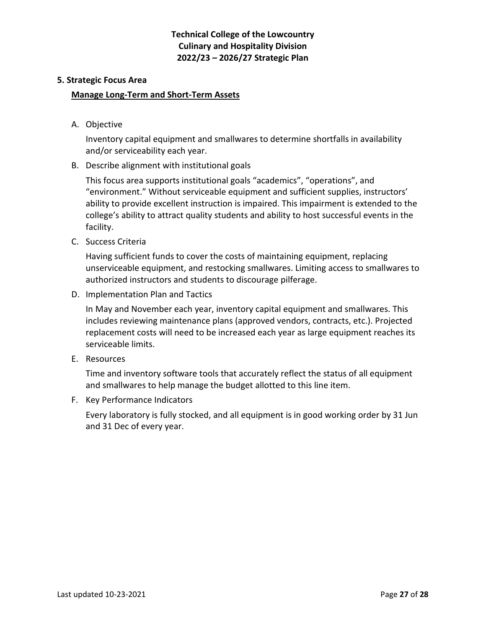#### **5. Strategic Focus Area**

#### **Manage Long-Term and Short-Term Assets**

A. Objective

Inventory capital equipment and smallwares to determine shortfalls in availability and/or serviceability each year.

B. Describe alignment with institutional goals

This focus area supports institutional goals "academics", "operations", and "environment." Without serviceable equipment and sufficient supplies, instructors' ability to provide excellent instruction is impaired. This impairment is extended to the college's ability to attract quality students and ability to host successful events in the facility.

C. Success Criteria

Having sufficient funds to cover the costs of maintaining equipment, replacing unserviceable equipment, and restocking smallwares. Limiting access to smallwares to authorized instructors and students to discourage pilferage.

D. Implementation Plan and Tactics

In May and November each year, inventory capital equipment and smallwares. This includes reviewing maintenance plans (approved vendors, contracts, etc.). Projected replacement costs will need to be increased each year as large equipment reaches its serviceable limits.

E. Resources

Time and inventory software tools that accurately reflect the status of all equipment and smallwares to help manage the budget allotted to this line item.

F. Key Performance Indicators

Every laboratory is fully stocked, and all equipment is in good working order by 31 Jun and 31 Dec of every year.